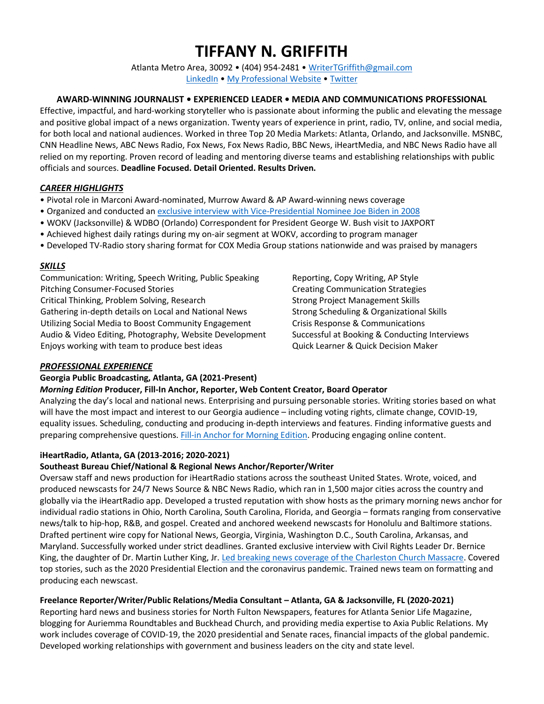# **TIFFANY N. GRIFFITH**

Atlanta Metro Area, 30092 • (404) 954-2481 • [WriterTGriffith@gmail.com](mailto:WriterTGriffith@gmail.com) [LinkedIn](http://www.linkedin.com/in/tiffanygriffith1) • [My Professional](https://www.storiesbytiffanygriffith.com/latest-news-coverage) Website • [Twitter](https://twitter.com/NewsFromTiffany)

## **AWARD-WINNING JOURNALIST • EXPERIENCED LEADER • MEDIA AND COMMUNICATIONS PROFESSIONAL**

Effective, impactful, and hard-working storyteller who is passionate about informing the public and elevating the message and positive global impact of a news organization. Twenty years of experience in print, radio, TV, online, and social media, for both local and national audiences. Worked in three Top 20 Media Markets: Atlanta, Orlando, and Jacksonville. MSNBC, CNN Headline News, ABC News Radio, Fox News, Fox News Radio, BBC News, iHeartMedia, and NBC News Radio have all relied on my reporting. Proven record of leading and mentoring diverse teams and establishing relationships with public officials and sources. **Deadline Focused. Detail Oriented. Results Driven.**

## *CAREER HIGHLIGHTS*

- Pivotal role in Marconi Award-nominated, Murrow Award & AP Award-winning news coverage
- Organized and conducted an [exclusive interview with Vice-Presidential Nominee Joe Biden](https://soundcloud.com/user-817990043/exclusive-interview-with-vp) in 2008
- WOKV (Jacksonville) & WDBO (Orlando) Correspondent for President George W. Bush visit to JAXPORT
- Achieved highest daily ratings during my on-air segment at WOKV, according to program manager
- Developed TV-Radio story sharing format for COX Media Group stations nationwide and was praised by managers

## *SKILLS*

Communication: Writing, Speech Writing, Public Speaking Reporting, Copy Writing, AP Style Pitching Consumer-Focused Stories Creation Creating Communication Strategies Critical Thinking, Problem Solving, Research Strong Project Management Skills Gathering in-depth details on Local and National News Strong Scheduling & Organizational Skills Utilizing Social Media to Boost Community Engagement Crisis Response & Communications Audio & Video Editing, Photography, Website Development Successful at Booking & Conducting Interviews Enjoys working with team to produce best ideas Quick Learner & Quick Decision Maker

#### *PROFESSIONAL EXPERIENCE*

#### **Georgia Public Broadcasting, Atlanta, GA (2021-Present)**

# *Morning Edition* **Producer, Fill-In Anchor, Reporter, Web Content Creator, Board Operator**

Analyzing the day's local and national news. Enterprising and pursuing personable stories. Writing stories based on what will have the most impact and interest to our Georgia audience – including voting rights, climate change, COVID-19, equality issues. Scheduling, conducting and producing in-depth interviews and features. Finding informative guests and preparing comprehensive questions. Fill-in Anchor for [Morning Edition.](https://www.gpb.org/news/2021/07/14/gpb-morning-headlines-for-july-14-2021) Producing engaging online content.

# **iHeartRadio, Atlanta, GA (2013-2016; 2020-2021)**

#### **Southeast Bureau Chief/National & Regional News Anchor/Reporter/Writer**

Oversaw staff and news production for iHeartRadio stations across the southeast United States. Wrote, voiced, and produced newscasts for 24/7 News Source & NBC News Radio, which ran in 1,500 major cities across the country and globally via the iHeartRadio app. Developed a trusted reputation with show hosts as the primary morning news anchor for individual radio stations in Ohio, North Carolina, South Carolina, Florida, and Georgia – formats ranging from conservative news/talk to hip-hop, R&B, and gospel. Created and anchored weekend newscasts for Honolulu and Baltimore stations. Drafted pertinent wire copy for National News, Georgia, Virginia, Washington D.C., South Carolina, Arkansas, and Maryland. Successfully worked under strict deadlines. Granted exclusive interview with Civil Rights Leader Dr. Bernice King, the daughter of Dr. Martin Luther King, Jr[. Led breaking news coverage of the Charleston Church Massacre.](https://soundcloud.com/user-817990043/wsc-newscast-vote-to-lower) Covered top stories, such as the 2020 Presidential Election and the coronavirus pandemic. Trained news team on formatting and producing each newscast.

# **Freelance Reporter/Writer/Public Relations/Media Consultant – Atlanta, GA & Jacksonville, FL (2020-2021)**

Reporting hard news and business stories for North Fulton Newspapers, features for Atlanta Senior Life Magazine, blogging for Auriemma Roundtables and Buckhead Church, and providing media expertise to Axia Public Relations. My work includes coverage of COVID-19, the 2020 presidential and Senate races, financial impacts of the global pandemic. Developed working relationships with government and business leaders on the city and state level.